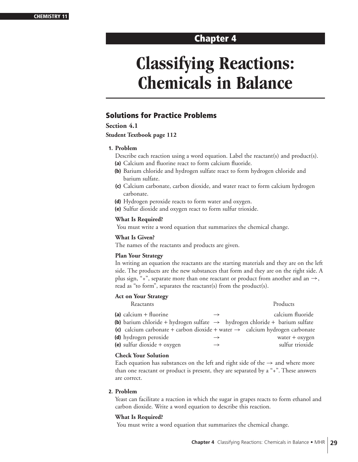# **Classifying Reactions: Chemicals in Balance**

# **Solutions for Practice Problems**

# **Section 4.1**

# **Student Textbook page 112**

# **1. Problem**

Describe each reaction using a word equation. Label the reactant(s) and product(s).

- **(a)** Calcium and fluorine react to form calcium fluoride.
- **(b)** Barium chloride and hydrogen sulfate react to form hydrogen chloride and barium sulfate.
- **(c)** Calcium carbonate, carbon dioxide, and water react to form calcium hydrogen carbonate.
- **(d)** Hydrogen peroxide reacts to form water and oxygen.
- **(e)** Sulfur dioxide and oxygen react to form sulfur trioxide.

# **What Is Required?**

You must write a word equation that summarizes the chemical change.

# **What Is Given?**

The names of the reactants and products are given.

# **Plan Your Strategy**

In writing an equation the reactants are the starting materials and they are on the left side. The products are the new substances that form and they are on the right side. A plus sign, "+", separate more than one reactant or product from another and an  $\rightarrow$ , read as "to form", separates the reactant(s) from the product(s).

# **Act on Your Strategy**

| Reactants                                                                                      |               | Products         |
|------------------------------------------------------------------------------------------------|---------------|------------------|
| (a) calcium $+$ fluorine                                                                       | $\rightarrow$ | calcium fluoride |
| <b>(b)</b> barium chloride + hydrogen sulfate $\rightarrow$ hydrogen chloride + barium sulfate |               |                  |
| (c) calcium carbonate + carbon dioxide + water $\rightarrow$ calcium hydrogen carbonate        |               |                  |
| (d) hydrogen peroxide                                                                          | $\rightarrow$ | water + oxygen   |
| (e) sulfur dioxide $+$ oxygen                                                                  | $\rightarrow$ | sulfur trioxide  |
|                                                                                                |               |                  |

# **Check Your Solution**

Each equation has substances on the left and right side of the  $\rightarrow$  and where more than one reactant or product is present, they are separated by a "+". These answers are correct.

# **2. Problem**

Yeast can facilitate a reaction in which the sugar in grapes reacts to form ethanol and carbon dioxide. Write a word equation to describe this reaction.

# **What Is Required?**

You must write a word equation that summarizes the chemical change.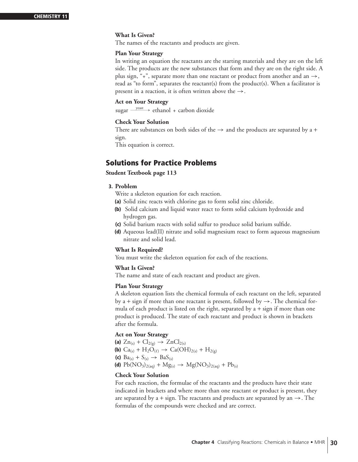# **What Is Given?**

The names of the reactants and products are given.

#### **Plan Your Strategy**

In writing an equation the reactants are the starting materials and they are on the left side. The products are the new substances that form and they are on the right side. A plus sign, "+", separate more than one reactant or product from another and an  $\rightarrow$ , read as "to form", separates the reactant(s) from the product(s). When a facilitator is present in a reaction, it is often written above the  $\rightarrow$ .

# **Act on Your Strategy**

sugar  $\frac{\text{year}}{\text{year}}$  ethanol + carbon dioxide

# **Check Your Solution**

There are substances on both sides of the  $\rightarrow$  and the products are separated by a + sign.

This equation is correct.

# **Solutions for Practice Problems**

# **Student Textbook page 113**

# **3. Problem**

Write a skeleton equation for each reaction.

- **(a)** Solid zinc reacts with chlorine gas to form solid zinc chloride.
- **(b)** Solid calcium and liquid water react to form solid calcium hydroxide and hydrogen gas.
- **(c)** Solid barium reacts with solid sulfur to produce solid barium sulfide.
- **(d)** Aqueous lead(II) nitrate and solid magnesium react to form aqueous magnesium nitrate and solid lead.

#### **What Is Required?**

You must write the skeleton equation for each of the reactions.

# **What Is Given?**

The name and state of each reactant and product are given.

#### **Plan Your Strategy**

A skeleton equation lists the chemical formula of each reactant on the left, separated by a + sign if more than one reactant is present, followed by  $\rightarrow$ . The chemical formula of each product is listed on the right, separated by  $a + sign$  if more than one product is produced. The state of each reactant and product is shown in brackets after the formula.

# **Act on Your Strategy**

**(a)**  $Zn_{(s)} + Cl_{2(g)} \to ZnCl_{2(s)}$ **(b)**  $Ca_{(s)} + H_2O_{(\ell)} \rightarrow Ca(OH)_{2(s)} + H_{2(g)}$ **(c)**  $\text{Ba}_{(s)} + \text{S}_{(s)} \rightarrow \text{BaS}_{(s)}$ **(d)**  $Pb(NO_3)_{2(aq)} + Mg_{(s)} \rightarrow Mg(NO_3)_{2(aq)} + Pb_{(s)}$ 

# **Check Your Solution**

For each reaction, the formulae of the reactants and the products have their state indicated in brackets and where more than one reactant or product is present, they are separated by a + sign. The reactants and products are separated by an  $\rightarrow$ . The formulas of the compounds were checked and are correct.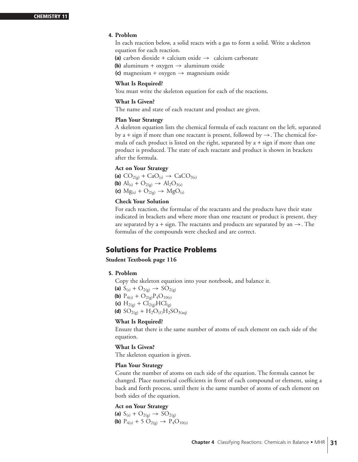# **4. Problem**

In each reaction below, a solid reacts with a gas to form a solid. Write a skeleton equation for each reaction.

**(a)** carbon dioxide + calcium oxide  $\rightarrow$  calcium carbonate

- **(b)** aluminum + oxygen  $\rightarrow$  aluminum oxide
- **(c)** magnesium + oxygen → magnesium oxide

#### **What Is Required?**

You must write the skeleton equation for each of the reactions.

#### **What Is Given?**

The name and state of each reactant and product are given.

#### **Plan Your Strategy**

A skeleton equation lists the chemical formula of each reactant on the left, separated by a + sign if more than one reactant is present, followed by  $\rightarrow$ . The chemical formula of each product is listed on the right, separated by  $a + sign$  if more than one product is produced. The state of each reactant and product is shown in brackets after the formula.

# **Act on Your Strategy**

(a)  $CO_{2(g)} + CaO_{(s)} \rightarrow CaCO_{3(s)}$ **(b)**  $\text{Al}_{(s)} + \text{O}_{2(g)} \rightarrow \text{Al}_{2}\text{O}_{3(s)}$ **(c)**  $Mg_{(s)} + O_{2(g)} \to MgO_{(s)}$ 

# **Check Your Solution**

For each reaction, the formulae of the reactants and the products have their state indicated in brackets and where more than one reactant or product is present, they are separated by a + sign. The reactants and products are separated by an  $\rightarrow$ . The formulas of the compounds were checked and are correct.

# **Solutions for Practice Problems**

# **Student Textbook page 116**

# **5. Problem**

Copy the skeleton equation into your notebook, and balance it.

**(a)**  $S_{(s)} + O_{2(g)} \rightarrow SO_{2(g)}$ 

**(b)**  $P_{4(s)} + O_{2(g)}P_4O_{10(s)}$ 

(c) 
$$
H_{2(g)} + Cl_{2(g)}HCl_{(g)}
$$

**(d)**  $SO_{2(g)} + H_2O_{(\ell)}H_2SO_{3(aq)}$ 

# **What Is Required?**

Ensure that there is the same number of atoms of each element on each side of the equation.

# **What Is Given?**

The skeleton equation is given.

# **Plan Your Strategy**

Count the number of atoms on each side of the equation. The formula cannot be changed. Place numerical coefficients in front of each compound or element, using a back and forth process, until there is the same number of atoms of each element on both sides of the equation.

# **Act on Your Strategy**

**(a)**  $S_{(s)} + O_{2(g)} \rightarrow SO_{2(g)}$ **(b)**  $P_{4(s)} + 5 O_{2(g)} \rightarrow P_4 O_{10(s)}$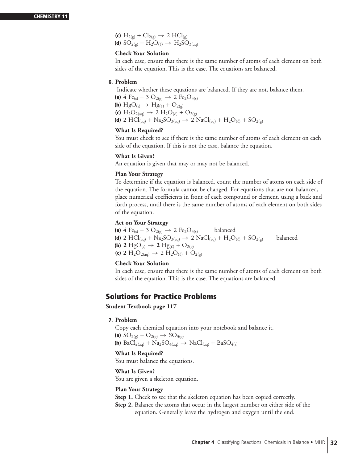**(c)**  $H_{2(g)} + Cl_{2(g)} \rightarrow 2$   $HCl_{(g)}$ **(d)**  $SO_{2(g)} + H_2O_{(\ell)} \rightarrow H_2SO_{3(aq)}$ 

#### **Check Your Solution**

In each case, ensure that there is the same number of atoms of each element on both sides of the equation. This is the case. The equations are balanced.

# **6. Problem**

Indicate whether these equations are balanced. If they are not, balance them.

**(a)** 4 Fe<sub>(s)</sub> + 3 O<sub>2(g)</sub>  $\rightarrow$  2 Fe<sub>2</sub>O<sub>3(s)</sub> **(b)**  $HgO_{(s)} \to Hg_{(\ell)} + O_{2(g)}$ **(c)**  $H_2O_{2(aq)} \to 2 H_2O_{(\ell)} + O_{2(g)}$ **(d)** 2 HCl<sub>(aq)</sub> + Na<sub>2</sub>SO<sub>3(aq)</sub>  $\rightarrow$  2 NaCl<sub>(aq)</sub> + H<sub>2</sub>O<sub>( $\ell$ )</sub> + SO<sub>2(g)</sub>

#### **What Is Required?**

You must check to see if there is the same number of atoms of each element on each side of the equation. If this is not the case, balance the equation.

#### **What Is Given?**

An equation is given that may or may not be balanced.

# **Plan Your Strategy**

To determine if the equation is balanced, count the number of atoms on each side of the equation. The formula cannot be changed. For equations that are not balanced, place numerical coefficients in front of each compound or element, using a back and forth process, until there is the same number of atoms of each element on both sides of the equation.

#### **Act on Your Strategy**

**(a)** 4 Fe<sub>(s)</sub> + 3 O<sub>2(g)</sub>  $\rightarrow$  2 Fe<sub>2</sub>O<sub>3(s)</sub> balanced **(d)** 2 HCl<sub>(aq)</sub> + Na<sub>2</sub>SO<sub>3(aq)</sub>  $\rightarrow$  2 NaCl<sub>(aq)</sub> + H<sub>2</sub>O<sub>( $\ell$ )</sub> + SO<sub>2(g)</sub> balanced **(b) 2** Hg $O_{(s)} \to$  **2** Hg $(e)$  +  $O_{2(g)}$ **(c) 2** H<sub>2</sub>O<sub>2(aq)</sub>  $\rightarrow$  2 H<sub>2</sub>O<sub>( $\ell$ )</sub> + O<sub>2(g)</sub>

# **Check Your Solution**

In each case, ensure that there is the same number of atoms of each element on both sides of the equation. This is the case. The equations are balanced.

# **Solutions for Practice Problems**

**Student Textbook page 117**

# **7. Problem**

Copy each chemical equation into your notebook and balance it.

**(a)**  $SO_{2(g)} + O_{2(g)} \rightarrow SO_{3(g)}$ 

**(b)** BaCl<sub>2(aq)</sub> + Na<sub>2</sub>SO<sub>4(aq)</sub>  $\rightarrow$  NaCl<sub>(aq)</sub> + BaSO<sub>4(s)</sub>

# **What Is Required?**

You must balance the equations.

#### **What Is Given?**

You are given a skeleton equation.

#### **Plan Your Strategy**

- **Step 1.** Check to see that the skeleton equation has been copied correctly.
- **Step 2.** Balance the atoms that occur in the largest number on either side of the equation. Generally leave the hydrogen and oxygen until the end.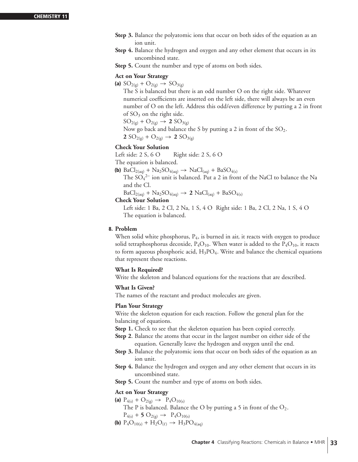- **Step 3.** Balance the polyatomic ions that occur on both sides of the equation as an ion unit.
- **Step 4.** Balance the hydrogen and oxygen and any other element that occurs in its uncombined state.
- **Step 5.** Count the number and type of atoms on both sides.

# **Act on Your Strategy**

**(a)**  $SO_{2(g)} + O_{2(g)} \rightarrow SO_{3(g)}$ 

The S is balanced but there is an odd number O on the right side. Whatever numerical coefficients are inserted on the left side, there will always be an even number of O on the left. Address this odd/even difference by putting a 2 in front of  $SO_3$  on the right side.

 $SO_{2(g)} + O_{2(g)} \rightarrow 2SO_{3(g)}$ 

Now go back and balance the S by putting a 2 in front of the  $SO_2$ .

**2**  $SO_{2(g)} + O_{2(g)} \rightarrow 2SO_{3(g)}$ 

# **Check Your Solution**

Left side:  $2 S$ ,  $6 O$  Right side:  $2 S$ ,  $6 O$ 

The equation is balanced.

**(b)** BaCl<sub>2(aq)</sub> + Na<sub>2</sub>SO<sub>4(aq)</sub>  $\rightarrow$  NaCl<sub>(aq)</sub> + BaSO<sub>4(s)</sub>

The  $SO_4^2$  ion unit is balanced. Put a 2 in front of the NaCl to balance the Na and the Cl.

 $BaCl<sub>2(aq)</sub> + Na<sub>2</sub>SO<sub>4(aq)</sub> \rightarrow 2 NaCl<sub>(aq)</sub> + BaSO<sub>4(s)</sub>$ 

# **Check Your Solution**

Left side: 1 Ba, 2 Cl, 2 Na, 1 S, 4 O Right side: 1 Ba, 2 Cl, 2 Na, 1 S, 4 O The equation is balanced.

#### **8. Problem**

When solid white phosphorus,  $P_4$ , is burned in air, it reacts with oxygen to produce solid tetraphosphorus decoxide,  $P_4O_{10}$ . When water is added to the  $P_4O_{10}$ , it reacts to form aqueous phosphoric acid,  $H_3PO_4$ . Write and balance the chemical equations that represent these reactions.

# **What Is Required?**

Write the skeleton and balanced equations for the reactions that are described.

# **What Is Given?**

The names of the reactant and product molecules are given.

# **Plan Your Strategy**

Write the skeleton equation for each reaction. Follow the general plan for the balancing of equations.

- **Step 1.** Check to see that the skeleton equation has been copied correctly.
- **Step 2**. Balance the atoms that occur in the largest number on either side of the equation. Generally leave the hydrogen and oxygen until the end.
- **Step 3.** Balance the polyatomic ions that occur on both sides of the equation as an ion unit.
- **Step 4.** Balance the hydrogen and oxygen and any other element that occurs in its uncombined state.
- **Step 5.** Count the number and type of atoms on both sides.

# **Act on Your Strategy**

- **(a)**  $P_{4(s)} + O_{2(g)} \rightarrow P_4O_{10(s)}$ 
	- The P is balanced. Balance the O by putting a 5 in front of the  $O_2$ .
- $P_{4(s)} + 5 O_{2(g)} \rightarrow P_4 O_{10(s)}$
- **(b)**  $P_4O_{10(s)} + H_2O_{(\ell)} \rightarrow H_3PO_{4(aq)}$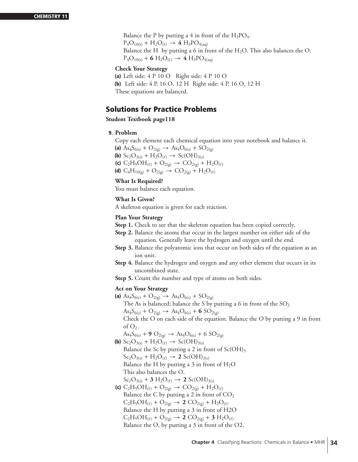Balance the P by putting a 4 in front of the  $H_3PO_4$ .  $P_4O_{10(s)} + H_2O_{(\ell)} \rightarrow 4 H_3PO_{4(aq)}$ Balance the H by putting a 6 in front of the  $H_2O$ . This also balances the O.  $P_4O_{10(s)} + 6 H_2O_{(\ell)} \rightarrow 4 H_3PO_{4(aq)}$ 

# **Check Your Strategy**

**(a)** Left side: 4 P 10 O Right side: 4 P 10 O **(b)** Left side: 4 P, 16 O, 12 H Right side: 4 P, 16 O, 12 H These equations are balanced.

# **Solutions for Practice Problems**

**Student Textbook page118**

# **9. Problem**

Copy each element each chemical equation into your notebook and balance it.

**(a)**  $\text{As}_4\text{S}_{6(s)} + \text{O}_{2(g)} \rightarrow \text{As}_4\text{O}_{6(s)} + \text{SO}_{2(g)}$ **(b)**  $Sc_2O_{3(s)} + H_2O_{(\ell)} \rightarrow Sc(OH)_{3(s)}$ **(c)**  $C_2H_5OH_{(\ell)} + O_{2(g)} \rightarrow CO_{2(g)} + H_2O_{(\ell)}$ **(d)**  $C_4H_{10(g)} + O_{2(g)} \rightarrow CO_{2(g)} + H_2O_{(\ell)}$ 

# **What Is Required?**

You must balance each equation.

# **What Is Given?**

A skeleton equation is given for each reaction.

# **Plan Your Strategy**

- **Step 1.** Check to see that the skeleton equation has been copied correctly.
- **Step 2.** Balance the atoms that occur in the largest number on either side of the equation. Generally leave the hydrogen and oxygen until the end.
- **Step 3.** Balance the polyatomic ions that occur on both sides of the equation as an ion unit.
- **Step 4.** Balance the hydrogen and oxygen and any other element that occurs in its uncombined state.
- **Step 5.** Count the number and type of atoms on both sides.

# **Act on Your Strategy**

**(a)**  $\text{As}_4\text{S}_{6(s)} + \text{O}_{2(g)} \rightarrow \text{As}_4\text{O}_{6(s)} + \text{SO}_{2(g)}$ 

The As is balanced; balance the S by putting a 6 in front of the  $SO_2$ 

 $\text{As}_4\text{S}_{6(s)} + \text{O}_{2(g)} \rightarrow \text{As}_4\text{O}_{6(s)} + 6 \text{SO}_{2(g)}$ 

Check the O on each side of the equation. Balance the O by putting a 9 in front of  $O_2$ .

 $\text{As}_4\text{S}_{6(s)} + 9 \text{O}_{2(g)} \rightarrow \text{As}_4\text{O}_{6(s)} + 6 \text{SO}_{2(g)}$ 

- **(b)**  $Sc_2O_{3(s)} + H_2O_{(\ell)} \rightarrow Sc(OH)_{3(s)}$ Balance the Sc by putting a 2 in front of  $Sc(OH)_3$  $Sc_2O_{3(s)} + H_2O_{(\ell)} \rightarrow 2~Sc(OH)_{3(s)}$ Balance the H by putting a 3 in front of  $H_2O$ This also balances the O.
	- $Sc_2O_{3(s)} + 3 H_2O_{(\ell)} \rightarrow 2 Sc(OH)_{3(s)}$
- **(c)**  $C_2H_5OH_{(\ell)} + O_{2(g)} \rightarrow CO_{2(g)} + H_2O_{(\ell)}$ Balance the C by putting a 2 in front of  $CO<sub>2</sub>$  $C_2H_5OH_{(\ell)} + O_{2(g)} \rightarrow 2 CO_{2(g)} + H_2O_{(\ell)}$ Balance the H by putting a 3 in front of H2O  $C_2H_5OH_{(\ell)} + O_{2(g)} \rightarrow 2 CO_{2(g)} + 3 H_2O_{(\ell)}$ Balance the O, by putting a 3 in front of the O2.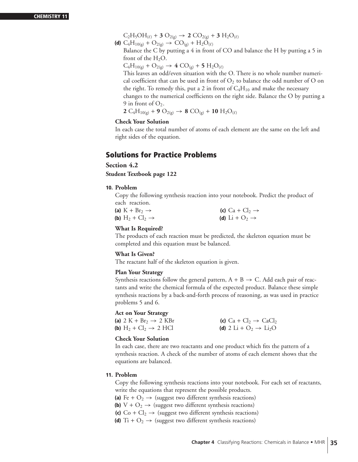$C_2H_5OH_{(\ell)} + 3 O_{2(g)} \rightarrow 2 CO_{2(g)} + 3 H_2O_{(\ell)}$ 

**(d)**  $C_4H_{10(g)} + O_{2(g)} \rightarrow CO_{(g)} + H_2O_{(\ell)}$ Balance the C by putting a 4 in front of CO and balance the H by putting a 5 in front of the  $H_2O$ .

 $C_4H_{10(g)} + O_{2(g)} \rightarrow 4 CO_{(g)} + 5 H_2O_{(\ell)}$ 

This leaves an odd/even situation with the O. There is no whole number numerical coefficient that can be used in front of  $O_2$  to balance the odd number of O on the right. To remedy this, put a 2 in front of  $C_4H_{10}$  and make the necessary changes to the numerical coefficients on the right side. Balance the O by putting a 9 in front of  $O_2$ .

**2** C<sub>4</sub>H<sub>10(g)</sub> + **9** O<sub>2(g)</sub>  $\rightarrow$  **8** CO<sub>(g)</sub> + **10** H<sub>2</sub>O<sub>(e)</sub>

# **Check Your Solution**

In each case the total number of atoms of each element are the same on the left and right sides of the equation.

# **Solutions for Practice Problems**

**Section 4.2** 

**Student Textbook page 122**

# **10. Problem**

Copy the following synthesis reaction into your notebook. Predict the product of each reaction.

| (a) $K + Br_2 \rightarrow$   | (c) $Ca + Cl2 \rightarrow$ |
|------------------------------|----------------------------|
| (b) $H_2 + Cl_2 \rightarrow$ | (d) Li + $O_2 \rightarrow$ |

# **What Is Required?**

The products of each reaction must be predicted, the skeleton equation must be completed and this equation must be balanced.

# **What Is Given?**

The reactant half of the skeleton equation is given.

# **Plan Your Strategy**

Synthesis reactions follow the general pattern,  $A + B \rightarrow C$ . Add each pair of reactants and write the chemical formula of the expected product. Balance these simple synthesis reactions by a back-and-forth process of reasoning, as was used in practice problems 5 and 6.

# **Act on Your Strategy**

| (a) $2 K + Br_2 \rightarrow 2 KBr$ | (c) $Ca + Cl_2 \rightarrow CaCl_2$             |
|------------------------------------|------------------------------------------------|
| (b) $H_2 + Cl_2 \rightarrow 2 HCl$ | (d) 2 Li + $O_2 \rightarrow$ Li <sub>2</sub> O |

# **Check Your Solution**

In each case, there are two reactants and one product which fits the pattern of a synthesis reaction. A check of the number of atoms of each element shows that the equations are balanced.

# **11. Problem**

Copy the following synthesis reactions into your notebook. For each set of reactants, write the equations that represent the possible products.

**(a)** Fe +  $O_2 \rightarrow$  (suggest two different synthesis reactions)

- **(b)**  $V + O_2 \rightarrow$  (suggest two different synthesis reactions)
- **(c)**  $Co + Cl_2 \rightarrow$  (suggest two different synthesis reactions)
- **(d)** Ti +  $O_2 \rightarrow$  (suggest two different synthesis reactions)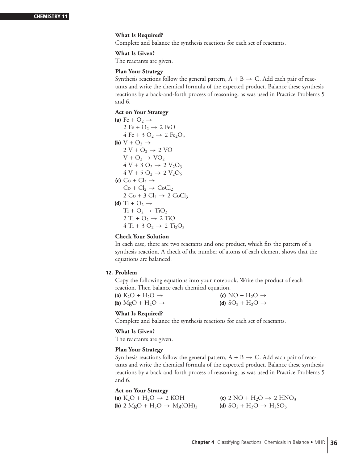# **What Is Required?**

Complete and balance the synthesis reactions for each set of reactants.

# **What Is Given?**

The reactants are given.

#### **Plan Your Strategy**

Synthesis reactions follow the general pattern,  $A + B \rightarrow C$ . Add each pair of reactants and write the chemical formula of the expected product. Balance these synthesis reactions by a back-and-forth process of reasoning, as was used in Practice Problems 5 and 6.

# **Act on Your Strategy**

(a) Fe +  $O_2 \rightarrow$ 2 Fe +  $O_2 \rightarrow 2$  FeO 4 Fe + 3 O<sub>2</sub>  $\rightarrow$  2 Fe<sub>2</sub>O<sub>3</sub> **(b)**  $V + O_2 \rightarrow$  $2 V + O_2 \rightarrow 2 VO$  $V + O_2 \rightarrow VO_2$  $4 V + 3 O_2 \rightarrow 2 V_2 O_3$  $4 V + 5 O_2 \rightarrow 2 V_2 O_5$ **(c)**  $Co + Cl_2 \rightarrow$  $Co + Cl_2 \rightarrow CoCl_2$  $2 \text{Co} + 3 \text{Cl}_2 \rightarrow 2 \text{CoCl}_3$ **(d)** Ti +  $O_2 \rightarrow$  $Ti + O_2 \rightarrow TiO_2$  $2 Ti + O_2 \rightarrow 2 TiO$  $4 Ti + 3 O_2 \rightarrow 2 Ti_2O_3$ 

# **Check Your Solution**

In each case, there are two reactants and one product, which fits the pattern of a synthesis reaction. A check of the number of atoms of each element shows that the equations are balanced.

# **12. Problem**

Copy the following equations into your notebook. Write the product of each reaction. Then balance each chemical equation.

| (a) $K_2O + H_2O \rightarrow$            | (c) NO + H <sub>2</sub> O $\rightarrow$ |
|------------------------------------------|-----------------------------------------|
| (b) MgO + H <sub>2</sub> O $\rightarrow$ | (d) $SO_2 + H_2O \rightarrow$           |

# **What Is Required?**

Complete and balance the synthesis reactions for each set of reactants.

# **What Is Given?**

The reactants are given.

#### **Plan Your Strategy**

Synthesis reactions follow the general pattern,  $A + B \rightarrow C$ . Add each pair of reactants and write the chemical formula of the expected product. Balance these synthesis reactions by a back-and-forth process of reasoning, as was used in Practice Problems 5 and 6.

# **Act on Your Strategy**

**(a)**  $K_2O + H_2O \rightarrow 2$  KOH **(c)** 2 NO +  $H_2O \rightarrow 2$  HNO<sub>3</sub><br>**(b)** 2 MgO +  $H_2O \rightarrow Mg(OH)_2$  **(d)** SO<sub>2</sub> +  $H_2O \rightarrow H_2SO_3$ **(b)** 2 MgO + H<sub>2</sub>O  $\rightarrow$  Mg(OH)<sub>2</sub>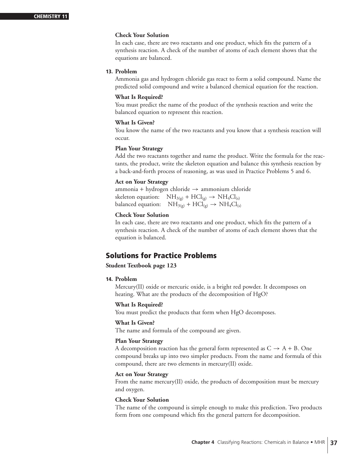In each case, there are two reactants and one product, which fits the pattern of a synthesis reaction. A check of the number of atoms of each element shows that the equations are balanced.

## **13. Problem**

Ammonia gas and hydrogen chloride gas react to form a solid compound. Name the predicted solid compound and write a balanced chemical equation for the reaction.

#### **What Is Required?**

You must predict the name of the product of the synthesis reaction and write the balanced equation to represent this reaction.

#### **What Is Given?**

You know the name of the two reactants and you know that a synthesis reaction will occur.

#### **Plan Your Strategy**

Add the two reactants together and name the product. Write the formula for the reactants, the product, write the skeleton equation and balance this synthesis reaction by a back-and-forth process of reasoning, as was used in Practice Problems 5 and 6.

# **Act on Your Strategy**

ammonia + hydrogen chloride  $\rightarrow$  ammonium chloride skeleton equation:  $NH_{3(g)} + HCl_{(g)} \rightarrow NH_4Cl_{(s)}$ balanced equation:  $NH_{3(g)} + HCl_{(g)} \rightarrow NH_4Cl_{(s)}$ 

# **Check Your Solution**

In each case, there are two reactants and one product, which fits the pattern of a synthesis reaction. A check of the number of atoms of each element shows that the equation is balanced.

# **Solutions for Practice Problems**

# **Student Textbook page 123**

#### **14. Problem**

Mercury(II) oxide or mercuric oxide, is a bright red powder. It decomposes on heating. What are the products of the decomposition of HgO?

#### **What Is Required?**

You must predict the products that form when HgO decomposes.

#### **What Is Given?**

The name and formula of the compound are given.

#### **Plan Your Strategy**

A decomposition reaction has the general form represented as  $C \rightarrow A + B$ . One compound breaks up into two simpler products. From the name and formula of this compound, there are two elements in mercury(II) oxide.

# **Act on Your Strategy**

From the name mercury(II) oxide, the products of decomposition must be mercury and oxygen.

# **Check Your Solution**

The name of the compound is simple enough to make this prediction. Two products form from one compound which fits the general pattern for decomposition.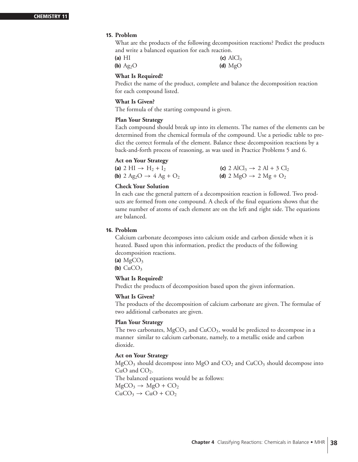# **15. Problem**

What are the products of the following decomposition reactions? Predict the products and write a balanced equation for each reaction.

| (a) $HI$    | (c) $AlCl3$ |
|-------------|-------------|
| (b) $Ag_2O$ | (d) $MgO$   |

# **What Is Required?**

Predict the name of the product, complete and balance the decomposition reaction for each compound listed.

# **What Is Given?**

The formula of the starting compound is given.

# **Plan Your Strategy**

Each compound should break up into its elements. The names of the elements can be determined from the chemical formula of the compound. Use a periodic table to predict the correct formula of the element. Balance these decomposition reactions by a back-and-forth process of reasoning, as was used in Practice Problems 5 and 6.

# **Act on Your Strategy**

| (a) 2 HI $\rightarrow$ H <sub>2</sub> + I <sub>2</sub>             | (c) 2 AlCl <sub>3</sub> $\rightarrow$ 2 Al + 3 Cl <sub>2</sub> |
|--------------------------------------------------------------------|----------------------------------------------------------------|
| <b>(b)</b> 2 Ag <sub>2</sub> O $\rightarrow$ 4 Ag + O <sub>2</sub> | (d) 2 MgO $\rightarrow$ 2 Mg + O <sub>2</sub>                  |

# **Check Your Solution**

In each case the general pattern of a decomposition reaction is followed. Two products are formed from one compound. A check of the final equations shows that the same number of atoms of each element are on the left and right side. The equations are balanced.

# **16. Problem**

Calcium carbonate decomposes into calcium oxide and carbon dioxide when it is heated. Based upon this information, predict the products of the following decomposition reactions.

(a)  $MgCO<sub>3</sub>$ **(b)**  $CuCO<sub>3</sub>$ 

# **What Is Required?**

Predict the products of decomposition based upon the given information.

# **What Is Given?**

The products of the decomposition of calcium carbonate are given. The formulae of two additional carbonates are given.

# **Plan Your Strategy**

The two carbonates,  $MgCO<sub>3</sub>$  and  $CuCO<sub>3</sub>$ , would be predicted to decompose in a manner similar to calcium carbonate, namely, to a metallic oxide and carbon dioxide.

# **Act on Your Strategy**

 $MgCO<sub>3</sub>$  should decompose into  $MgO$  and  $CO<sub>2</sub>$  and  $CuCO<sub>3</sub>$  should decompose into  $CuO$  and  $CO<sub>2</sub>$ . The balanced equations would be as follows:  $MgCO<sub>3</sub> \rightarrow MgO + CO<sub>2</sub>$  $CuCO<sub>3</sub> \rightarrow CuO + CO<sub>2</sub>$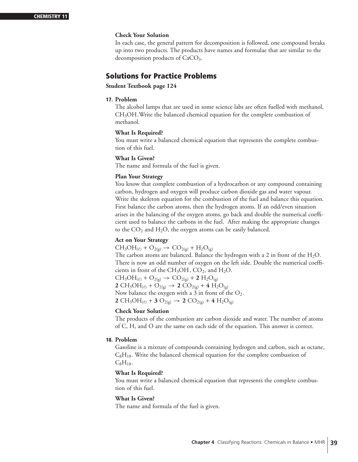In each case, the general pattern for decomposition is followed, one compound breaks up into two products. The products have names and formulae that are similar to the decomposition products of CaCO<sub>3</sub>.

# **Solutions for Practice Problems**

# **Student Textbook page 124**

# **17. Problem**

The alcohol lamps that are used in some science labs are often fuelled with methanol, CH<sub>3</sub>OH. Write the balanced chemical equation for the complete combustion of methanol.

# **What Is Required?**

You must write a balanced chemical equation that represents the complete combustion of this fuel.

# **What Is Given?**

The name and formula of the fuel is given.

# **Plan Your Strategy**

You know that complete combustion of a hydrocarbon or any compound containing carbon, hydrogen and oxygen will produce carbon dioxide gas and water vapour. Write the skeleton equation for the combustion of the fuel and balance this equation. First balance the carbon atoms, then the hydrogen atoms. If an odd/even situation arises in the balancing of the oxygen atoms, go back and double the numerical coefficient used to balance the carbons in the fuel. After making the appropriate changes to the  $CO<sub>2</sub>$  and  $H<sub>2</sub>O$ , the oxygen atoms can be easily balanced.

# **Act on Your Strategy**

 $CH_3OH_{(l)} + O_{2(g)} \rightarrow CO_{2(g)} + H_2O_{(g)}$ 

The carbon atoms are balanced. Balance the hydrogen with a 2 in front of the  $H_2O$ . There is now an odd number of oxygen on the left side. Double the numerical coefficients in front of the CH<sub>3</sub>OH,  $CO<sub>2</sub>$ , and H<sub>2</sub>O.

 $CH_3OH_{(\ell)} + O_{2(g)} \rightarrow CO_{2(g)} + 2 H_2O_{(g)}$ **2** CH<sub>3</sub>OH<sub>( $\ell$ )</sub> + O<sub>2(g)</sub> → **2** CO<sub>2(g)</sub> + **4** H<sub>2</sub>O<sub>(g)</sub> Now balance the oxygen with a 3 in front of the  $O_2$ . **2** CH<sub>3</sub>OH<sub>( $\ell$ )</sub> + **3** O<sub>2(g)</sub> → **2** CO<sub>2(g)</sub> + **4** H<sub>2</sub>O<sub>(g)</sub>

# **Check Your Solution**

The products of the combustion are carbon dioxide and water. The number of atoms of C, H, and O are the same on each side of the equation. This answer is correct.

# **18. Problem**

Gasoline is a mixture of compounds containing hydrogen and carbon, such as octane,  $C_8H_{18}$ . Write the balanced chemical equation for the complete combustion of  $C_8H_{18}$ .

# **What Is Required?**

You must write a balanced chemical equation that represents the complete combustion of this fuel.

# **What Is Given?**

The name and formula of the fuel is given.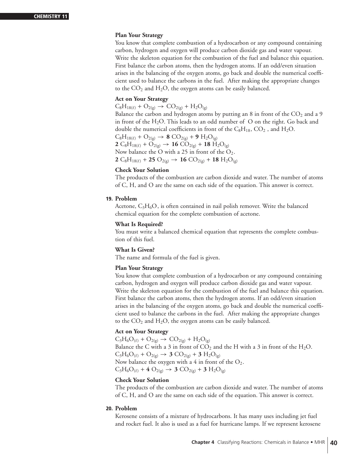# **Plan Your Strategy**

You know that complete combustion of a hydrocarbon or any compound containing carbon, hydrogen and oxygen will produce carbon dioxide gas and water vapour. Write the skeleton equation for the combustion of the fuel and balance this equation. First balance the carbon atoms, then the hydrogen atoms. If an odd/even situation arises in the balancing of the oxygen atoms, go back and double the numerical coefficient used to balance the carbons in the fuel. After making the appropriate changes to the  $CO<sub>2</sub>$  and  $H<sub>2</sub>O$ , the oxygen atoms can be easily balanced.

# **Act on Your Strategy**

 $C_8H_{18(\ell)} + O_{2(g)} \rightarrow CO_{2(g)} + H_2O_{(g)}$ 

Balance the carbon and hydrogen atoms by putting an 8 in front of the  $CO<sub>2</sub>$  and a 9 in front of the H<sub>2</sub>O. This leads to an odd number of  $O$  on the right. Go back and double the numerical coefficients in front of the  $C_8H_{18}$ ,  $CO_2$ , and  $H_2O$ .  $C_8H_{18(\ell)} + O_{2(g)} \rightarrow 8 CO_{2(g)} + 9 H_2O_{(g)}$  $2 \text{ C}_8 \text{H}_{18(\ell)} + \text{O}_{2(g)} \rightarrow 16 \text{ CO}_{2(g)} + 18 \text{ H}_2 \text{O}_{(g)}$ Now balance the O with a 25 in front of the  $O_2$ . **2** C<sub>8</sub>H<sub>18( $\ell$ ) + **25** O<sub>2(g)</sub> → **16** CO<sub>2(g)</sub> + **18** H<sub>2</sub>O<sub>(g)</sub></sub>

# **Check Your Solution**

The products of the combustion are carbon dioxide and water. The number of atoms of C, H, and O are the same on each side of the equation. This answer is correct.

# **19. Problem**

Acetone,  $C_3H_6O$ , is often contained in nail polish remover. Write the balanced chemical equation for the complete combustion of acetone.

#### **What Is Required?**

You must write a balanced chemical equation that represents the complete combustion of this fuel.

# **What Is Given?**

The name and formula of the fuel is given.

# **Plan Your Strategy**

You know that complete combustion of a hydrocarbon or any compound containing carbon, hydrogen and oxygen will produce carbon dioxide gas and water vapour. Write the skeleton equation for the combustion of the fuel and balance this equation. First balance the carbon atoms, then the hydrogen atoms. If an odd/even situation arises in the balancing of the oxygen atoms, go back and double the numerical coefficient used to balance the carbons in the fuel. After making the appropriate changes to the  $CO<sub>2</sub>$  and  $H<sub>2</sub>O$ , the oxygen atoms can be easily balanced.

# **Act on Your Strategy**

 $C_3H_6O_{(\ell)} + O_{2(g)} \rightarrow CO_{2(g)} + H_2O_{(g)}$ Balance the C with a 3 in front of  $CO_2$  and the H with a 3 in front of the H<sub>2</sub>O.  $C_3H_6O_{(\ell)}$  + O<sub>2(g)</sub>  $\rightarrow$  **3** CO<sub>2(g)</sub> + **3** H<sub>2</sub>O<sub>(g)</sub> Now balance the oxygen with a 4 in front of the  $O_2$ .  $C_3H_6O_{(\ell)}$  + **4**  $O_{2(g)} \rightarrow 3 CO_{2(g)}$  + **3**  $H_2O_{(g)}$ 

# **Check Your Solution**

The products of the combustion are carbon dioxide and water. The number of atoms of C, H, and O are the same on each side of the equation. This answer is correct.

# **20. Problem**

Kerosene consists of a mixture of hydrocarbons. It has many uses including jet fuel and rocket fuel. It also is used as a fuel for hurricane lamps. If we represent kerosene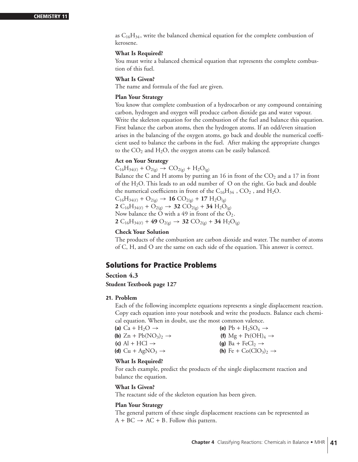as  $C_{16}H_{34}$ , write the balanced chemical equation for the complete combustion of kerosene.

# **What Is Required?**

You must write a balanced chemical equation that represents the complete combustion of this fuel.

# **What Is Given?**

The name and formula of the fuel are given.

#### **Plan Your Strategy**

You know that complete combustion of a hydrocarbon or any compound containing carbon, hydrogen and oxygen will produce carbon dioxide gas and water vapour. Write the skeleton equation for the combustion of the fuel and balance this equation. First balance the carbon atoms, then the hydrogen atoms. If an odd/even situation arises in the balancing of the oxygen atoms, go back and double the numerical coefficient used to balance the carbons in the fuel. After making the appropriate changes to the  $CO<sub>2</sub>$  and  $H<sub>2</sub>O$ , the oxygen atoms can be easily balanced.

# **Act on Your Strategy**

 $C_{16}H_{34(\ell)} + O_{2(g)} \rightarrow CO_{2(g)} + H_2O_{(g)}$ 

Balance the C and H atoms by putting an 16 in front of the  $CO<sub>2</sub>$  and a 17 in front of the  $H_2O$ . This leads to an odd number of O on the right. Go back and double the numerical coefficients in front of the  $C_{16}H_{34}$ ,  $CO_2$ , and  $H_2O$ .

 $C_{16}H_{34}(\ell) + O_{2(g)} \rightarrow 16 CO_{2(g)} + 17 H_2O_{(g)}$ **2** C<sub>16</sub>H<sub>34( $\ell$ ) + O<sub>2(g)</sub>  $\rightarrow$  **32** CO<sub>2(g)</sub> + **34** H<sub>2</sub>O<sub>(g)</sub></sub> Now balance the O with a 49 in front of the  $O_2$ . **2** C<sub>16</sub>H<sub>34( $\ell$ ) + **49** O<sub>2(g)</sub>  $\rightarrow$  **32** CO<sub>2(g)</sub> + **34** H<sub>2</sub>O<sub>(g)</sub></sub>

# **Check Your Solution**

The products of the combustion are carbon dioxide and water. The number of atoms of C, H, and O are the same on each side of the equation. This answer is correct.

# **Solutions for Practice Problems**

**Section 4.3**

**Student Textbook page 127** 

# **21. Problem**

Each of the following incomplete equations represents a single displacement reaction. Copy each equation into your notebook and write the products. Balance each chemical equation. When in doubt, use the most common valence.

| (a) Ca + H <sub>2</sub> O $\rightarrow$                     | (e) $Pb + H_2SO_4 \rightarrow$             |
|-------------------------------------------------------------|--------------------------------------------|
| (b) $Z_n$ + Pb(NO <sub>3</sub> ) <sub>2</sub> $\rightarrow$ | (f) Mg + Pt(OH) <sub>4</sub> $\rightarrow$ |
| (c) Al + HCl $\rightarrow$                                  | (g) $Ba + FeCl_2 \rightarrow$              |
| (d) $Cu + AgNO3 \rightarrow$                                | (h) Fe + $Co(CIO_3)_2 \rightarrow$         |
|                                                             |                                            |

# **What Is Required?**

For each example, predict the products of the single displacement reaction and balance the equation.

# **What Is Given?**

The reactant side of the skeleton equation has been given.

# **Plan Your Strategy**

The general pattern of these single displacement reactions can be represented as  $A + BC \rightarrow AC + B$ . Follow this pattern.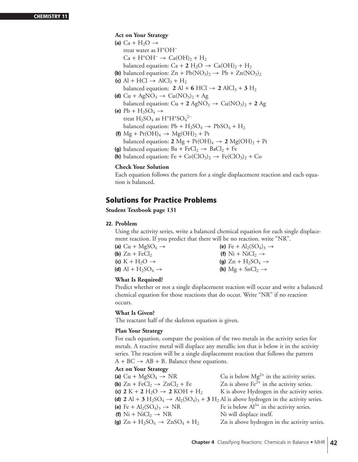# **CHEMISTRY 11**

# **Act on Your Strategy**

- (a)  $Ca + H<sub>2</sub>O \rightarrow$ treat water as H<sup>+</sup>OH<sup>−</sup>  $Ca + H^{+}OH^{-} \rightarrow Ca(OH)<sub>2</sub> + H<sub>2</sub>$ balanced equation:  $Ca + 2 H_2O \rightarrow Ca(OH)_2 + H_2$
- **(b)** balanced equation:  $Zn + Pb(NO<sub>3</sub>)<sub>2</sub> \rightarrow Pb + Zn(NO<sub>3</sub>)<sub>2</sub>$
- **(c)** Al + HCl  $\rightarrow$  AlCl<sub>3</sub> + H<sub>2</sub> balanced equation: **2** Al + **6** HCl  $\rightarrow$  **2** AlCl<sub>3</sub> + **3** H<sub>2</sub>
- **(d)** Cu + AgNO<sub>3</sub>  $\rightarrow$  Cu(NO<sub>3</sub>)<sub>2</sub> + Ag balanced equation:  $Cu + 2 AgNO<sub>3</sub> \rightarrow Cu(NO<sub>3</sub>)<sub>2</sub> + 2 Ag$
- (e)  $Pb + H_2SO_4 \rightarrow$ treat  $H_2SO_4$  as  $H^+H^+SO_4^{2-}$ balanced equation:  $Pb + H_2SO_4 \rightarrow PbSO_4 + H_2$
- **(f)**  $Mg + Pt(OH)_4 \rightarrow Mg(OH)_2 + Pt$ balanced equation: **2** Mg + Pt(OH)<sub>4</sub>  $\rightarrow$  **2** Mg(OH)<sub>2</sub> + Pt
- **(g)** balanced equation:  $Ba + FeCl_2 \rightarrow BaCl_2 + Fe$
- **(h)** balanced equation: Fe +  $Co(CIO_3)_2 \rightarrow Fe(CIO_3)_2 + Co$

# **Check Your Solution**

Each equation follows the pattern for a single displacement reaction and each equation is balanced.

# **Solutions for Practice Problems**

# **Student Textbook page 131**

# **22. Problem**

Using the activity series, write a balanced chemical equation for each single displacement reaction. If you predict that there will be no reaction, write "NR".

**(a)** Cu + MgSO<sub>4</sub>  $\rightarrow$  **(e)** Fe + Al<sub>2</sub>(SO<sub>4</sub>)<sub>3</sub>  $\rightarrow$  **(b)** Zn + FeCl<sub>2</sub>  $\rightarrow$  **(f)** Ni + NiCl<sub>2</sub>  $\rightarrow$ **(b)**  $Zn + FeCl_2$ <br> **(c)**  $K + H_2O \rightarrow$ <br> **(g)**  $Zn + H_2SO_4 -$ **(c)** K + H<sub>2</sub>O → **(g)** Zn + H<sub>2</sub>SO<sub>4</sub> → **(d)** Al + H<sub>2</sub>SO<sub>4</sub> → **(h)** Mg + SnCl<sub>2</sub> → **(h)**  $Mg + SnCl_2 \rightarrow$ 

# **What Is Required?**

Predict whether or not a single displacement reaction will occur and write a balanced chemical equation for those reactions that do occur. Write "NR" if no reaction occurs.

# **What Is Given?**

The reactant half of the skeleton equation is given.

# **Plan Your Strategy**

For each equation, compare the position of the two metals in the activity series for metals. A reactive metal will displace any metallic ion that is below it in the activity series. The reaction will be a single displacement reaction that follows the pattern  $A + BC \rightarrow AB + B$ . Balance these equations.

# **Act on Your Strategy**

| (a) $Cu + MgSO4 \rightarrow NR$                                                | Cu is below $Mg^{2+}$ in the activity series.                                                                                                            |
|--------------------------------------------------------------------------------|----------------------------------------------------------------------------------------------------------------------------------------------------------|
| (b) $Zn + FeCl_2 \rightarrow ZnCl_2 + Fe$                                      | Zn is above $Fe^{2+}$ in the activity series.                                                                                                            |
| (c) $2 K + 2 H_2O \rightarrow 2 KOH + H_2$                                     | K is above Hydrogen in the activity series.                                                                                                              |
|                                                                                | (d) $2 \text{ Al} + 3 \text{ H}_2\text{SO}_4 \rightarrow \text{Al}_2(\text{SO}_4)_3 + 3 \text{ H}_2\text{ Al}$ is above hydrogen in the activity series. |
| (e) Fe + $Al_2(SO_4)_3 \rightarrow NR$                                         | Fe is below $Al^{3+}$ in the activity series.                                                                                                            |
| (f) $Ni + NiCl_2 \rightarrow NR$                                               | Ni will displace itself.                                                                                                                                 |
| (g) $\text{Zn} + \text{H}_2\text{SO}_4 \rightarrow \text{ZnSO}_4 + \text{H}_2$ | Zn is above hydrogen in the activity series.                                                                                                             |
|                                                                                |                                                                                                                                                          |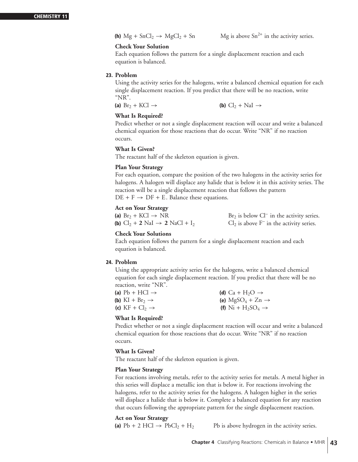Each equation follows the pattern for a single displacement reaction and each equation is balanced.

# **23. Problem**

Using the activity series for the halogens, write a balanced chemical equation for each single displacement reaction. If you predict that there will be no reaction, write "NR".

**(a)**  $\text{Br}_2 + \text{KCl} \rightarrow$  **(b)**  $\text{Cl}_2 + \text{NaI} \rightarrow$ 

# **What Is Required?**

Predict whether or not a single displacement reaction will occur and write a balanced chemical equation for those reactions that do occur. Write "NR" if no reaction occurs.

# **What Is Given?**

The reactant half of the skeleton equation is given.

# **Plan Your Strategy**

For each equation, compare the position of the two halogens in the activity series for halogens. A halogen will displace any halide that is below it in this activity series. The reaction will be a single displacement reaction that follows the pattern  $DE + F \rightarrow DF + E$ . Balance these equations.

# **Act on Your Strategy**

(a) Br<sub>2</sub> + KCl → NR<br>
(b) Cl<sub>2</sub> + 2 NaI → 2 NaCl + I<sub>2</sub> Gl<sub>2</sub> is above F<sup>-</sup> in the activity series.

 $Cl<sub>2</sub>$  is above F<sup>−</sup> in the activity series.

# **Check Your Solutions**

Each equation follows the pattern for a single displacement reaction and each equation is balanced.

# **24. Problem**

Using the appropriate activity series for the halogens, write a balanced chemical equation for each single displacement reaction. If you predict that there will be no reaction, write "NR".

| (a) $Pb + HCl \rightarrow$  | (d) $Ca + H2O \rightarrow$                            |
|-----------------------------|-------------------------------------------------------|
| (b) $KI + Br_2 \rightarrow$ | (e) $MgSO_4 + Zn \rightarrow$                         |
| (c) $KF + Cl_2 \rightarrow$ | (f) Ni + H <sub>2</sub> SO <sub>4</sub> $\rightarrow$ |

# **What Is Required?**

Predict whether or not a single displacement reaction will occur and write a balanced chemical equation for those reactions that do occur. Write "NR" if no reaction occurs.

# **What Is Given?**

The reactant half of the skeleton equation is given.

# **Plan Your Strategy**

For reactions involving metals, refer to the activity series for metals. A metal higher in this series will displace a metallic ion that is below it. For reactions involving the halogens, refer to the activity series for the halogens. A halogen higher in the series will displace a halide that is below it. Complete a balanced equation for any reaction that occurs following the appropriate pattern for the single displacement reaction.

# **Act on Your Strategy**

(a)  $Pb + 2$  HCl  $\rightarrow$   $PbCl_2 + H_2$  Pb is above hydrogen in the activity series.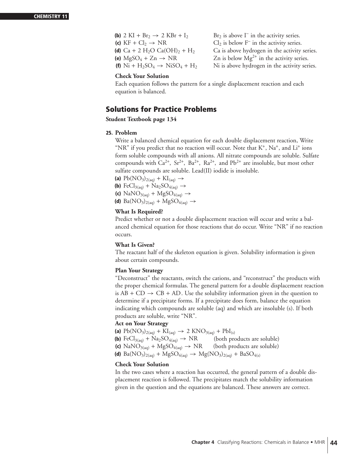**(b)** 2 KI + Br<sub>2</sub>  $\rightarrow$  2 KBr + I<sub>2</sub><br>**(c)** KF + Cl<sub>2</sub>  $\rightarrow$  NR

 $Br<sub>2</sub>$  is above  $I<sup>-</sup>$  in the activity series. (c) KF + Cl<sub>2</sub> → NR Cl<sub>2</sub> is below F<sup>−</sup> in the activity series.<br>
(d) Ca + 2 H<sub>2</sub>O Ca(OH)<sub>2</sub> + H<sub>2</sub> Ca is above hydrogen in the activity Ca is above hydrogen in the activity series. **(e)**  $MgSO_4 + Zn \rightarrow NR$ <br> **(f)**  $Ni + H_2SO_4 \rightarrow NiSO_4 + H_2$ <br> *Ni* is above hydrogen in the activity series. Ni is above hydrogen in the activity series.

#### **Check Your Solution**

Each equation follows the pattern for a single displacement reaction and each equation is balanced.

# **Solutions for Practice Problems**

**Student Textbook page 134**

# **25. Problem**

Write a balanced chemical equation for each double displacement reaction, Write "NR" if you predict that no reaction will occur. Note that  $K^+$ , Na<sup>+</sup>, and Li<sup>+</sup> ions form soluble compounds with all anions. All nitrate compounds are soluble. Sulfate compounds with  $Ca^{2+}$ ,  $Sr^{2+}$ ,  $Ba^{2+}$ ,  $Ra^{2+}$ , and  $Pb^{2+}$  are insoluble, but most other sulfate compounds are soluble. Lead(II) iodide is insoluble.

(a)  $Pb(NO_3)_{2(aq)} + KI_{(aq)} \rightarrow$ 

**(b)** FeCl<sub>3(aq)</sub> + Na<sub>2</sub>SO<sub>4(aq)</sub>  $\rightarrow$ 

- **(c)** NaNO<sub>3(aq)</sub> + MgSO<sub>4(aq)</sub>  $\rightarrow$
- **(d)** Ba( $NO_3$ )<sub>2(aq)</sub> + MgS $O_{4(aq)}$   $\rightarrow$

# **What Is Required?**

Predict whether or not a double displacement reaction will occur and write a balanced chemical equation for those reactions that do occur. Write "NR" if no reaction occurs.

# **What Is Given?**

The reactant half of the skeleton equation is given. Solubility information is given about certain compounds.

# **Plan Your Strategy**

"Deconstruct" the reactants, switch the cations, and "reconstruct" the products with the proper chemical formulas. The general pattern for a double displacement reaction is  $AB + CD \rightarrow CB + AD$ . Use the solubility information given in the question to determine if a precipitate forms. If a precipitate does form, balance the equation indicating which compounds are soluble (aq) and which are insoluble (s). If both products are soluble, write "NR".

# **Act on Your Strategy**

- 
- **(a)**  $Pb(NO_3)_{2(aq)} + KI_{(aq)} \rightarrow 2 KNO_{3(aq)} + PbI_{(s)}$ <br>**(b)**  $FeCl_{3(aq)} + Na_2SO_{4(aq)} \rightarrow NR$  (both products are soluble) **(b)** FeCl<sub>3(aq)</sub> + Na<sub>2</sub>SO<sub>4(aq)</sub>  $\rightarrow$  NR (both products are soluble)<br>**(c)** NaNO<sub>3(aq)</sub> + MgSO<sub>4(aq)</sub>  $\rightarrow$  NR (both products are soluble)
- **(c)**  $\text{NaNO}_{3(\text{aq})} + \text{MgSO}_{4(\text{aq})} \rightarrow \text{NR}$
- **(d)** Ba( $NO_3$ )<sub>2(aq)</sub> + MgS $O_{4(aq)} \rightarrow Mg(NO_3)_{2(aq)} + BaSO_{4(s)}$

# **Check Your Solution**

In the two cases where a reaction has occurred, the general pattern of a double displacement reaction is followed. The precipitates match the solubility information given in the question and the equations are balanced. These answers are correct.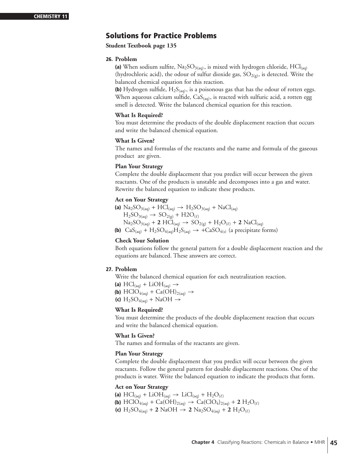# **Solutions for Practice Problems**

**Student Textbook page 135**

#### **26. Problem**

(a) When sodium sulfite,  $\text{Na}_2\text{SO}_{3(aq)}$ , is mixed with hydrogen chloride,  $\text{HCl}_{(aq)}$ (hydrochloric acid), the odour of sulfur dioxide gas,  $SO_{2(g)}$ , is detected. Write the balanced chemical equation for this reaction.

**(b)** Hydrogen sulfide,  $H_2S_{(aq)}$ , is a poisonous gas that has the odour of rotten eggs. When aqueous calcium sulfide,  $CaS<sub>(aq)</sub>$ , is reacted with sulfuric acid, a rotten egg smell is detected. Write the balanced chemical equation for this reaction.

#### **What Is Required?**

You must determine the products of the double displacement reaction that occurs and write the balanced chemical equation.

# **What Is Given?**

The names and formulas of the reactants and the name and formula of the gaseous product are given.

#### **Plan Your Strategy**

Complete the double displacement that you predict will occur between the given reactants. One of the products is unstable and decomposes into a gas and water. Rewrite the balanced equation to indicate these products.

#### **Act on Your Strategy**

**(a)**  $\text{Na}_2\text{SO}_{3(aq)} + \text{HCl}_{(aq)} \rightarrow \text{H}_2\text{SO}_{3(aq)} + \text{NaCl}_{(aq)}$  $H_2SO_{3(aq)} \rightarrow SO_{2(g)} + H2O_{(\ell)}$  $Na_2SO_{3(aq)} + 2 \text{ HCl}_{(aq)} \rightarrow SO_{2(g)} + H_2O_{(\ell)} + 2 \text{ NaCl}_{(aq)}$ **(b)**  $\text{CaS}_{\text{(aq)}} + \text{H}_2\text{SO}_{4\text{(aq)}}\text{H}_2\text{S}_{\text{(aq)}} \rightarrow +\text{CaSO}_{4\text{(s)}}$  (a precipitate forms)

# **Check Your Solution**

Both equations follow the general pattern for a double displacement reaction and the equations are balanced. These answers are correct.

# **27. Problem**

Write the balanced chemical equation for each neutralization reaction. (a)  $\text{HCl}_{(aq)} + \text{LiOH}_{(aq)} \rightarrow$ **(b)** HClO<sub>4(aq)</sub> + Ca(OH)<sub>2(aq)</sub>  $\rightarrow$ **(c)**  $H_2SO_{4(aq)} + NaOH \rightarrow$ 

# **What Is Required?**

You must determine the products of the double displacement reaction that occurs and write the balanced chemical equation.

# **What Is Given?**

The names and formulas of the reactants are given.

#### **Plan Your Strategy**

Complete the double displacement that you predict will occur between the given reactants. Follow the general pattern for double displacement reactions. One of the products is water. Write the balanced equation to indicate the products that form.

#### **Act on Your Strategy**

(a)  $\text{HCl}_{(aq)} + \text{LiOH}_{(aq)} \rightarrow \text{LiCl}_{(aq)} + \text{H}_2\text{O}_{(\ell)}$ **(b)** HClO<sub>4(aq)</sub> + Ca(OH)<sub>2(aq)</sub>  $\rightarrow$  Ca(ClO<sub>4</sub>)<sub>2(aq)</sub> + **2** H<sub>2</sub>O<sub>( $\ell$ )</sub>

**(c)**  $H_2SO_{4(aq)} + 2$  NaOH  $\rightarrow 2$  Na<sub>2</sub>SO<sub>4(aq)</sub> + 2  $H_2O_{(\ell)}$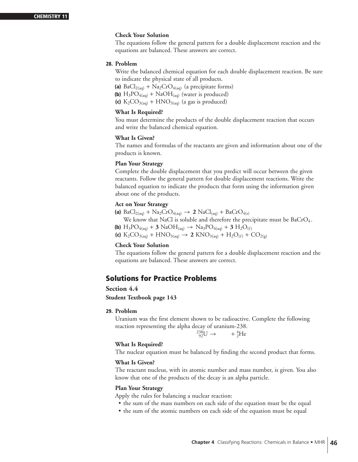The equations follow the general pattern for a double displacement reaction and the equations are balanced. These answers are correct.

# **28. Problem**

Write the balanced chemical equation for each double displacement reaction. Be sure to indicate the physical state of all products.

(a)  $BaCl<sub>2(aq)</sub> + Na<sub>2</sub>CrO<sub>4(aq)</sub>$  (a precipitate forms)

**(b)**  $H_3PO_{4(aq)} + NaOH_{(aq)}$  (water is produced)

(c)  $K_2CO_{3(aq)} + HNO_{3(aq)}$  (a gas is produced)

# **What Is Required?**

You must determine the products of the double displacement reaction that occurs and write the balanced chemical equation.

#### **What Is Given?**

The names and formulas of the reactants are given and information about one of the products is known.

# **Plan Your Strategy**

Complete the double displacement that you predict will occur between the given reactants. Follow the general pattern for double displacement reactions. Write the balanced equation to indicate the products that form using the information given about one of the products.

#### **Act on Your Strategy**

**(a)**  $BaCl_{2(aq)} + Na_2CrO_{4(aq)} \rightarrow 2 NaCl_{(aq)} + BaCrO_{4(s)}$ 

We know that NaCl is soluble and therefore the precipitate must be  $BaCrO<sub>4</sub>$ .

**(b)**  $H_3PO_{4(aq)} + 3$  NaO $H_{(aq)} \rightarrow Na_3PO_{4(aq)} + 3$   $H_2O_{(\ell)}$ 

**(c)**  $K_2CO_{3(aq)} + HNO_{3(aq)} \rightarrow 2 KNO_{3(aq)} + H_2O_{(\ell)} + CO_{2(g)}$ 

#### **Check Your Solution**

The equations follow the general pattern for a double displacement reaction and the equations are balanced. These answers are correct.

# **Solutions for Practice Problems**

# **Section 4.4**

**Student Textbook page 143**

# **29. Problem**

Uranium was the first element shown to be radioactive. Complete the following reaction representing the alpha decay of uranium-238.

$$
^{238}_{92}\text{U} \rightarrow + ^{4}_{2}\text{He}
$$

# **What Is Required?**

The nuclear equation must be balanced by finding the second product that forms.

# **What Is Given?**

The reactant nucleus, with its atomic number and mass number, is given. You also know that one of the products of the decay is an alpha particle.

# **Plan Your Strategy**

Apply the rules for balancing a nuclear reaction:

- the sum of the mass numbers on each side of the equation must be the equal
- the sum of the atomic numbers on each side of the equation must be equal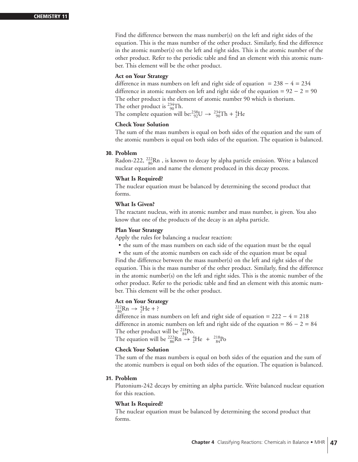Find the difference between the mass number(s) on the left and right sides of the equation. This is the mass number of the other product. Similarly, find the difference in the atomic number(s) on the left and right sides. This is the atomic number of the other product. Refer to the periodic table and find an element with this atomic number. This element will be the other product.

# **Act on Your Strategy**

difference in mass numbers on left and right side of equation =  $238 - 4 = 234$ difference in atomic numbers on left and right side of the equation =  $92 - 2 = 90$ The other product is the element of atomic number 90 which is thorium. The other product is  $^{234}_{90}$ Th. The complete equation will be: $^{238}_{92}U \rightarrow ^{234}_{90}Th + ^{4}_{2}He$ 

# **Check Your Solution**

The sum of the mass numbers is equal on both sides of the equation and the sum of the atomic numbers is equal on both sides of the equation. The equation is balanced.

# **30. Problem**

Radon-222, <sup>222</sup><sub>86</sub>Rn, is known to decay by alpha particle emission. Write a balanced nuclear equation and name the element produced in this decay process.

#### **What Is Required?**

The nuclear equation must be balanced by determining the second product that forms.

# **What Is Given?**

The reactant nucleus, with its atomic number and mass number, is given. You also know that one of the products of the decay is an alpha particle.

# **Plan Your Strategy**

Apply the rules for balancing a nuclear reaction:

- the sum of the mass numbers on each side of the equation must be the equal
- the sum of the atomic numbers on each side of the equation must be equal

Find the difference between the mass number(s) on the left and right sides of the equation. This is the mass number of the other product. Similarly, find the difference in the atomic number(s) on the left and right sides. This is the atomic number of the other product. Refer to the periodic table and find an element with this atomic number. This element will be the other product.

# **Act on Your Strategy**

$$
^{222}_{86} \text{Rn} \rightarrow ^{4}_{2} \text{He} + ?
$$

difference in mass numbers on left and right side of equation =  $222 - 4 = 218$ difference in atomic numbers on left and right side of the equation =  $86 - 2 = 84$ The other product will be  $^{218}_{84}$ Po. The equation will be  $^{222}_{86}$ Rn  $\rightarrow$   $^{4}_{2}$ He +  $^{218}_{84}$ Po

# **Check Your Solution**

The sum of the mass numbers is equal on both sides of the equation and the sum of the atomic numbers is equal on both sides of the equation. The equation is balanced.

# **31. Problem**

Plutonium-242 decays by emitting an alpha particle. Write balanced nuclear equation for this reaction.

#### **What Is Required?**

The nuclear equation must be balanced by determining the second product that forms.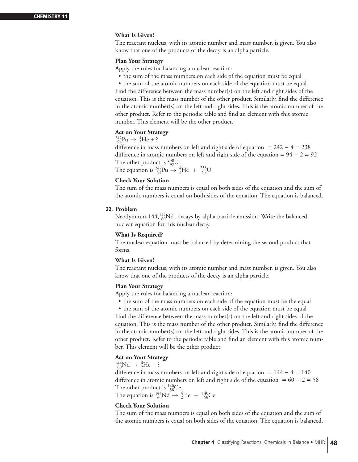# **What Is Given?**

The reactant nucleus, with its atomic number and mass number, is given. You also know that one of the products of the decay is an alpha particle.

# **Plan Your Strategy**

Apply the rules for balancing a nuclear reaction:

• the sum of the mass numbers on each side of the equation must be equal

• the sum of the atomic numbers on each side of the equation must be equal Find the difference between the mass number(s) on the left and right sides of the equation. This is the mass number of the other product. Similarly, find the difference in the atomic number(s) on the left and right sides. This is the atomic number of the other product. Refer to the periodic table and find an element with this atomic number. This element will be the other product.

# **Act on Your Strategy**

$$
^{242}_{94}Pu \to {}^{4}_{2}He + ?
$$

difference in mass numbers on left and right side of equation = 242 − 4 = 238 difference in atomic numbers on left and right side of the equation =  $94 - 2 = 92$ The other product is  $^{238}_{92}U$ .

The equation is  ${}^{242}_{94}Pu \rightarrow {}^{4}_{2}He + {}^{238}_{92}U$ 

# **Check Your Solution**

The sum of the mass numbers is equal on both sides of the equation and the sum of the atomic numbers is equal on both sides of the equation. The equation is balanced.

#### **32. Problem**

Neodymium-144, $^{144}_{60}$ Nd, decays by alpha particle emission. Write the balanced nuclear equation for this nuclear decay.

# **What Is Required?**

The nuclear equation must be balanced by determining the second product that forms.

# **What Is Given?**

The reactant nucleus, with its atomic number and mass number, is given. You also know that one of the products of the decay is an alpha particle.

# **Plan Your Strategy**

Apply the rules for balancing a nuclear reaction:

• the sum of the mass numbers on each side of the equation must be the equal

• the sum of the atomic numbers on each side of the equation must be equal Find the difference between the mass number(s) on the left and right sides of the equation. This is the mass number of the other product. Similarly, find the difference in the atomic number(s) on the left and right sides. This is the atomic number of the other product. Refer to the periodic table and find an element with this atomic number. This element will be the other product.

# **Act on Your Strategy**

 $^{144}_{60}Nd \rightarrow ^{4}_{2}He + ?$ 

difference in mass numbers on left and right side of equation =  $144 - 4 = 140$ difference in atomic numbers on left and right side of the equation =  $60 - 2 = 58$ The other product is  $^{140}_{58}$ Ce.

The equation is  ${}^{144}_{60}Nd \rightarrow {}^{4}_{2}He + {}^{140}_{58}Ce$ 

# **Check Your Solution**

The sum of the mass numbers is equal on both sides of the equation and the sum of the atomic numbers is equal on both sides of the equation. The equation is balanced.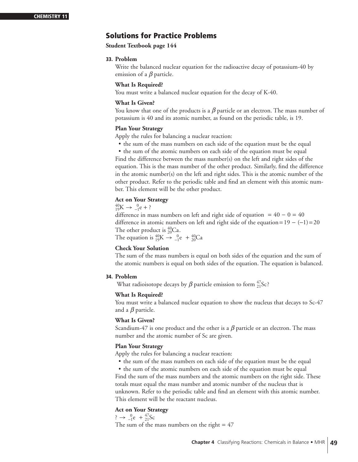# **Solutions for Practice Problems**

**Student Textbook page 144**

# **33. Problem**

Write the balanced nuclear equation for the radioactive decay of potassium-40 by emission of a *β* particle.

# **What Is Required?**

You must write a balanced nuclear equation for the decay of K-40.

# **What Is Given?**

You know that one of the products is a  $\beta$  particle or an electron. The mass number of potassium is 40 and its atomic number, as found on the periodic table, is 19.

# **Plan Your Strategy**

Apply the rules for balancing a nuclear reaction:

• the sum of the mass numbers on each side of the equation must be the equal

• the sum of the atomic numbers on each side of the equation must be equal Find the difference between the mass number(s) on the left and right sides of the equation. This is the mass number of the other product. Similarly, find the difference in the atomic number(s) on the left and right sides. This is the atomic number of the other product. Refer to the periodic table and find an element with this atomic number. This element will be the other product.

# **Act on Your Strategy**

 ${}^{40}_{19}$ K  $\rightarrow {}^{0}_{-1}e + ?$ 

difference in mass numbers on left and right side of equation =  $40 - 0 = 40$ difference in atomic numbers on left and right side of the equation=  $19 - (-1) = 20$ The other product is  ${}^{40}_{20}Ca$ . The equation is  ${}^{40}_{19}K \rightarrow {}^{0}_{-1}e + {}^{40}_{20}Ca$ 

# **Check Your Solution**

The sum of the mass numbers is equal on both sides of the equation and the sum of the atomic numbers is equal on both sides of the equation. The equation is balanced.

# **34. Problem**

What radioisotope decays by  $\beta$  particle emission to form  $_{21}^{47}$ Sc?

# **What Is Required?**

You must write a balanced nuclear equation to show the nucleus that decays to Sc-47 and a *β* particle.

# **What Is Given?**

Scandium-47 is one product and the other is a  $\beta$  particle or an electron. The mass number and the atomic number of Sc are given.

# **Plan Your Strategy**

- Apply the rules for balancing a nuclear reaction:
	- the sum of the mass numbers on each side of the equation must be the equal

• the sum of the atomic numbers on each side of the equation must be equal Find the sum of the mass numbers and the atomic numbers on the right side. These totals must equal the mass number and atomic number of the nucleus that is unknown. Refer to the periodic table and find an element with this atomic number. This element will be the reactant nucleus.

# **Act on Your Strategy**

 $\frac{1}{2} \rightarrow \frac{0}{-1}e + \frac{47}{21}Sc$ 

The sum of the mass numbers on the right  $= 47$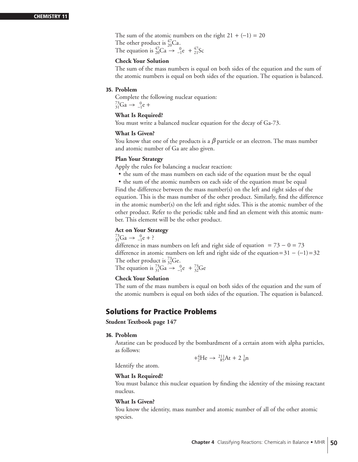The sum of the atomic numbers on the right  $21 + (-1) = 20$ The other product is  ${}^{47}_{20}$ Ca. The equation is  ${}_{20}^{47}Ca \rightarrow {}_{-1}^{0}e + {}_{21}^{47}Sc$ 

# **Check Your Solution**

The sum of the mass numbers is equal on both sides of the equation and the sum of the atomic numbers is equal on both sides of the equation. The equation is balanced.

# **35. Problem**

Complete the following nuclear equation:  $^{73}_{31}Ga \rightarrow ^{0}_{-1}e +$ 

# **What Is Required?**

You must write a balanced nuclear equation for the decay of Ga-73.

#### **What Is Given?**

You know that one of the products is a  $\beta$  particle or an electron. The mass number and atomic number of Ga are also given.

#### **Plan Your Strategy**

Apply the rules for balancing a nuclear reaction:

• the sum of the mass numbers on each side of the equation must be the equal

• the sum of the atomic numbers on each side of the equation must be equal Find the difference between the mass number(s) on the left and right sides of the equation. This is the mass number of the other product. Similarly, find the difference in the atomic number(s) on the left and right sides. This is the atomic number of the other product. Refer to the periodic table and find an element with this atomic number. This element will be the other product.

# **Act on Your Strategy**

 $^{73}_{31}Ga \rightarrow ^{0}_{-1}e + ?$ 

difference in mass numbers on left and right side of equation =  $73 - 0 = 73$ difference in atomic numbers on left and right side of the equation=  $31 - (-1) = 32$ The other product is  $^{73}_{32}$ Ge. The equation is  ${}^{73}_{31}Ga \rightarrow {}^{0}_{-1}e + {}^{73}_{32}Ge$ 

# **Check Your Solution**

The sum of the mass numbers is equal on both sides of the equation and the sum of the atomic numbers is equal on both sides of the equation. The equation is balanced.

# **Solutions for Practice Problems**

**Student Textbook page 147**

#### **36. Problem**

Astatine can be produced by the bombardment of a certain atom with alpha particles, as follows:

Identify the atom.

$$
+_{2}^{4}\text{He} \rightarrow {}_{85}^{211}\text{At} + 2 {}_{0}^{1}\text{n}
$$

# **What Is Required?**

You must balance this nuclear equation by finding the identity of the missing reactant nucleus.

#### **What Is Given?**

You know the identity, mass number and atomic number of all of the other atomic species.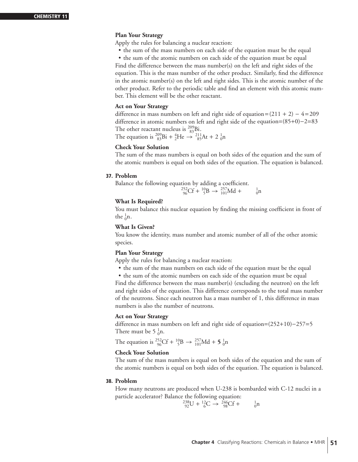# **Plan Your Strategy**

Apply the rules for balancing a nuclear reaction:

• the sum of the mass numbers on each side of the equation must be the equal

• the sum of the atomic numbers on each side of the equation must be equal Find the difference between the mass number(s) on the left and right sides of the equation. This is the mass number of the other product. Similarly, find the difference in the atomic number(s) on the left and right sides. This is the atomic number of the other product. Refer to the periodic table and find an element with this atomic number. This element will be the other reactant.

# **Act on Your Strategy**

difference in mass numbers on left and right side of equation =  $(211 + 2) - 4 = 209$ difference in atomic numbers on left and right side of the equation=(85+0)−2=83 The other reactant nucleus is  $^{209}_{83}$ Bi.

The equation is  ${}^{209}_{83}$ Bi +  ${}^{4}_{2}$ He  $\rightarrow {}^{211}_{85}$ At + 2  ${}^{1}_{0}$ n

# **Check Your Solution**

The sum of the mass numbers is equal on both sides of the equation and the sum of the atomic numbers is equal on both sides of the equation. The equation is balanced.

#### **37. Problem**

Balance the following equation by adding a coefficient.  $^{252}_{96}Cf + ^{10}_{5}B \rightarrow ^{257}_{101}Md + ^{1}_{0}$  $\frac{1}{0}n$ 

# **What Is Required?**

You must balance this nuclear equation by finding the missing coefficient in front of the  $\frac{1}{0}$ n.

#### **What Is Given?**

You know the identity, mass number and atomic number of all of the other atomic species.

# **Plan Your Strategy**

Apply the rules for balancing a nuclear reaction:

- the sum of the mass numbers on each side of the equation must be the equal
- the sum of the atomic numbers on each side of the equation must be equal

Find the difference between the mass number(s) (excluding the neutron) on the left and right sides of the equation. This difference corresponds to the total mass number of the neutrons. Since each neutron has a mass number of 1, this difference in mass numbers is also the number of neutrons.

# **Act on Your Strategy**

difference in mass numbers on left and right side of equation=(252+10)−257=5 There must be 5  $\frac{1}{0}$ n.

The equation is <sup>252</sup>Cf + <sup>10</sup><sub>5</sub>B  $\rightarrow$  <sup>257</sup><sub>101</sub>Md + **5**<sup>-1</sup><sub>0</sub>n

# **Check Your Solution**

The sum of the mass numbers is equal on both sides of the equation and the sum of the atomic numbers is equal on both sides of the equation. The equation is balanced.

#### **38. Problem**

How many neutrons are produced when U-238 is bombarded with C-12 nuclei in a particle accelerator? Balance the following equation:

> $^{238}_{92}U + ^{12}_{6}C \rightarrow ^{246}_{98}Cf + ^{1}_{0}$  $\frac{1}{0}n$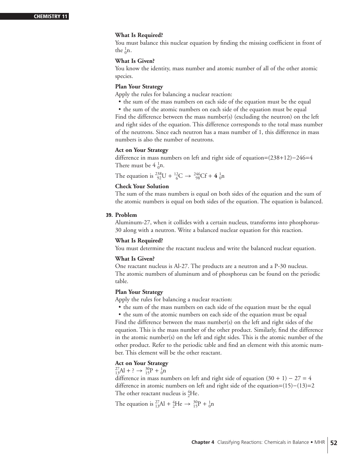# **What Is Required?**

You must balance this nuclear equation by finding the missing coefficient in front of the  $\frac{1}{0}n$ .

# **What Is Given?**

You know the identity, mass number and atomic number of all of the other atomic species.

# **Plan Your Strategy**

Apply the rules for balancing a nuclear reaction:

• the sum of the mass numbers on each side of the equation must be the equal

• the sum of the atomic numbers on each side of the equation must be equal Find the difference between the mass number(s) (excluding the neutron) on the left and right sides of the equation. This difference corresponds to the total mass number of the neutrons. Since each neutron has a mass number of 1, this difference in mass numbers is also the number of neutrons.

# **Act on Your Strategy**

difference in mass numbers on left and right side of equation=(238+12)−246=4 There must be  $4 \frac{1}{0}n$ .

The equation is  ${}^{238}_{92}U + {}^{12}_{6}C \rightarrow {}^{246}_{98}Cf + 4 {}^{1}_{0}n$ 

# **Check Your Solution**

The sum of the mass numbers is equal on both sides of the equation and the sum of the atomic numbers is equal on both sides of the equation. The equation is balanced.

# **39. Problem**

Aluminum-27, when it collides with a certain nucleus, transforms into phosphorus-30 along with a neutron. Write a balanced nuclear equation for this reaction.

# **What Is Required?**

You must determine the reactant nucleus and write the balanced nuclear equation.

# **What Is Given?**

One reactant nucleus is Al-27. The products are a neutron and a P-30 nucleus. The atomic numbers of aluminum and of phosphorus can be found on the periodic table.

# **Plan Your Strategy**

Apply the rules for balancing a nuclear reaction:

• the sum of the mass numbers on each side of the equation must be the equal

• the sum of the atomic numbers on each side of the equation must be equal Find the difference between the mass number(s) on the left and right sides of the equation. This is the mass number of the other product. Similarly, find the difference in the atomic number(s) on the left and right sides. This is the atomic number of the other product. Refer to the periodic table and find an element with this atomic number. This element will be the other reactant.

# **Act on Your Strategy**

 $^{27}_{13}Al + ? \rightarrow ^{30}_{15}P + ^{1}_{0}n$ 

difference in mass numbers on left and right side of equation  $(30 + 1) - 27 = 4$ difference in atomic numbers on left and right side of the equation=(15)−(13)=2 The other reactant nucleus is  ${}^{4}_{2}$ He.

The equation is  ${}^{27}_{13}\text{Al} + {}^{4}_{2}\text{He} \rightarrow {}^{30}_{15}\text{P} + {}^{1}_{0}\text{n}$